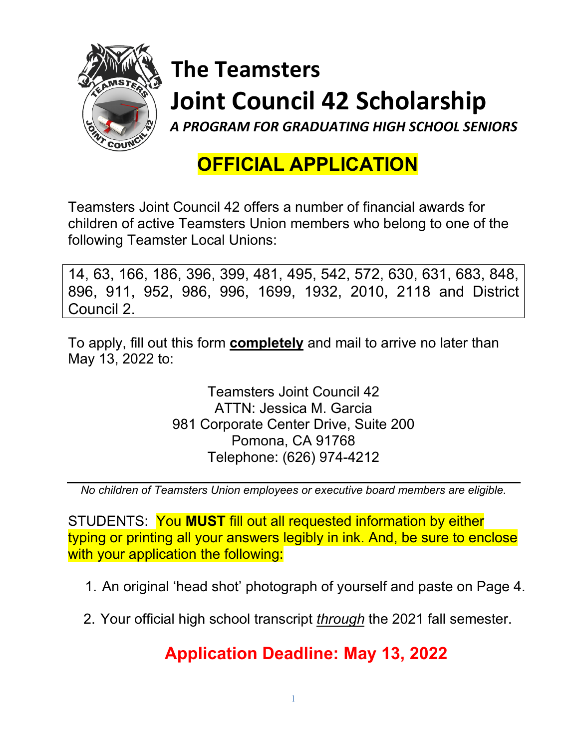

# **The Teamsters Joint Council 42 Scholarship**

*A PROGRAM FOR GRADUATING HIGH SCHOOL SENIORS*

# **OFFICIAL APPLICATION**

Teamsters Joint Council 42 offers a number of financial awards for children of active Teamsters Union members who belong to one of the following Teamster Local Unions:

14, 63, 166, 186, 396, 399, 481, 495, 542, 572, 630, 631, 683, 848, 896, 911, 952, 986, 996, 1699, 1932, 2010, 2118 and District Council 2.

To apply, fill out this form **completely** and mail to arrive no later than May 13, 2022 to:

> Teamsters Joint Council 42 ATTN: Jessica M. Garcia 981 Corporate Center Drive, Suite 200 Pomona, CA 91768 Telephone: (626) 974-4212

*No children of Teamsters Union employees or executive board members are eligible.*

STUDENTS: You **MUST** fill out all requested information by either typing or printing all your answers legibly in ink. And, be sure to enclose with your application the following:

1. An original 'head shot' photograph of yourself and paste on Page 4.

2. Your official high school transcript *through* the 2021 fall semester.

# **Application Deadline: May 13, 2022**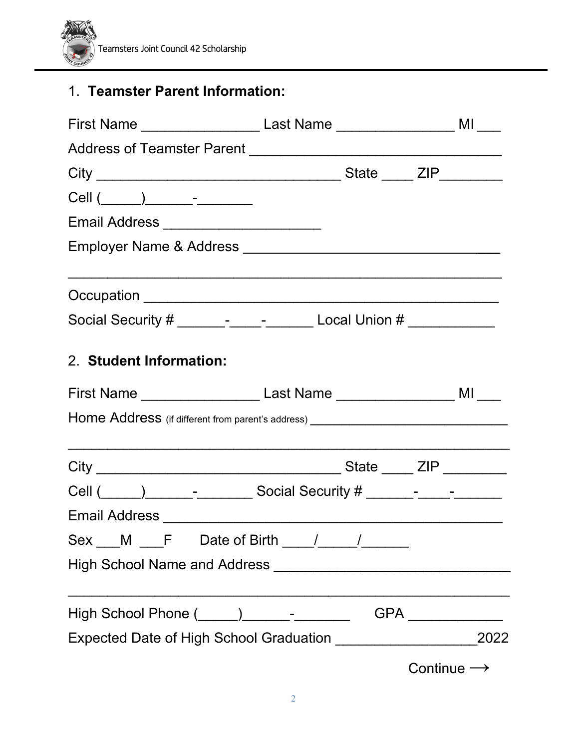

## 1. **Teamster Parent Information:**

| First Name _________________________ Last Name __________________________ MI ____ |                        |
|-----------------------------------------------------------------------------------|------------------------|
|                                                                                   |                        |
|                                                                                   |                        |
|                                                                                   |                        |
| Email Address ________________________                                            |                        |
|                                                                                   |                        |
|                                                                                   |                        |
| Social Security # ____________________________ Local Union # _______________      |                        |
| 2. Student Information:                                                           |                        |
|                                                                                   |                        |
| Home Address (if different from parent's address) _______________________________ |                        |
|                                                                                   |                        |
|                                                                                   |                        |
|                                                                                   |                        |
| $Sex$ M F Date of Birth $/$                                                       |                        |
|                                                                                   |                        |
| High School Phone (_____)_____________________GPA ______________                  |                        |
|                                                                                   |                        |
|                                                                                   | Continue $\rightarrow$ |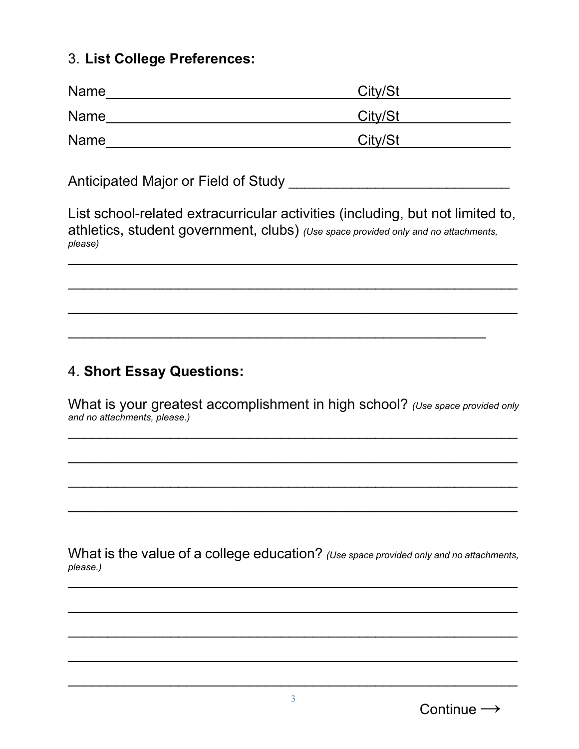#### 3. **List College Preferences:**

| <b>Name</b> | City/St |
|-------------|---------|
| <b>Name</b> | City/St |
| <b>Name</b> | City/St |

Anticipated Major or Field of Study **Anticipated Major or Field of Study** 

List school-related extracurricular activities (including, but not limited to, athletics, student government, clubs) *(Use space provided only and no attachments, please)* \_\_\_\_\_\_\_\_\_\_\_\_\_\_\_\_\_\_\_\_\_\_\_\_\_\_\_\_\_\_\_\_\_\_\_\_\_\_\_\_\_\_\_\_\_\_\_\_\_\_\_\_\_\_\_\_\_

\_\_\_\_\_\_\_\_\_\_\_\_\_\_\_\_\_\_\_\_\_\_\_\_\_\_\_\_\_\_\_\_\_\_\_\_\_\_\_\_\_\_\_\_\_\_\_\_\_\_\_\_\_\_\_\_\_

\_\_\_\_\_\_\_\_\_\_\_\_\_\_\_\_\_\_\_\_\_\_\_\_\_\_\_\_\_\_\_\_\_\_\_\_\_\_\_\_\_\_\_\_\_\_\_\_\_\_\_\_\_\_\_\_\_

\_\_\_\_\_\_\_\_\_\_\_\_\_\_\_\_\_\_\_\_\_\_\_\_\_\_\_\_\_\_\_\_\_\_\_\_\_\_\_\_\_\_\_\_\_\_\_\_\_\_\_\_\_

### 4. **Short Essay Questions:**

What is your greatest accomplishment in high school? *(Use space provided only and no attachments, please.)*

\_\_\_\_\_\_\_\_\_\_\_\_\_\_\_\_\_\_\_\_\_\_\_\_\_\_\_\_\_\_\_\_\_\_\_\_\_\_\_\_\_\_\_\_\_\_\_\_\_\_\_\_\_\_\_\_\_

\_\_\_\_\_\_\_\_\_\_\_\_\_\_\_\_\_\_\_\_\_\_\_\_\_\_\_\_\_\_\_\_\_\_\_\_\_\_\_\_\_\_\_\_\_\_\_\_\_\_\_\_\_\_\_\_\_

\_\_\_\_\_\_\_\_\_\_\_\_\_\_\_\_\_\_\_\_\_\_\_\_\_\_\_\_\_\_\_\_\_\_\_\_\_\_\_\_\_\_\_\_\_\_\_\_\_\_\_\_\_\_\_\_\_

\_\_\_\_\_\_\_\_\_\_\_\_\_\_\_\_\_\_\_\_\_\_\_\_\_\_\_\_\_\_\_\_\_\_\_\_\_\_\_\_\_\_\_\_\_\_\_\_\_\_\_\_\_\_\_\_\_

What is the value of a college education? (Use space provided only and no attachments, *please.)* \_\_\_\_\_\_\_\_\_\_\_\_\_\_\_\_\_\_\_\_\_\_\_\_\_\_\_\_\_\_\_\_\_\_\_\_\_\_\_\_\_\_\_\_\_\_\_\_\_\_\_\_\_\_\_\_\_

\_\_\_\_\_\_\_\_\_\_\_\_\_\_\_\_\_\_\_\_\_\_\_\_\_\_\_\_\_\_\_\_\_\_\_\_\_\_\_\_\_\_\_\_\_\_\_\_\_\_\_\_\_\_\_\_\_

\_\_\_\_\_\_\_\_\_\_\_\_\_\_\_\_\_\_\_\_\_\_\_\_\_\_\_\_\_\_\_\_\_\_\_\_\_\_\_\_\_\_\_\_\_\_\_\_\_\_\_\_\_\_\_\_\_

\_\_\_\_\_\_\_\_\_\_\_\_\_\_\_\_\_\_\_\_\_\_\_\_\_\_\_\_\_\_\_\_\_\_\_\_\_\_\_\_\_\_\_\_\_\_\_\_\_\_\_\_\_\_\_\_\_

\_\_\_\_\_\_\_\_\_\_\_\_\_\_\_\_\_\_\_\_\_\_\_\_\_\_\_\_\_\_\_\_\_\_\_\_\_\_\_\_\_\_\_\_\_\_\_\_\_\_\_\_\_\_\_\_\_

Continue  $\rightarrow$